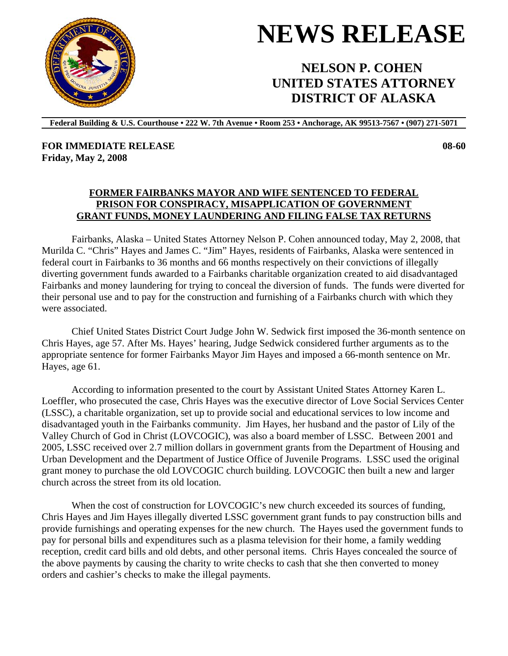**Federal Building & U.S. Courthouse • 222 W. 7th Avenue • Room 253 • Anchorage, AK 99513-7567 • (907) 271-5071** 

**FOR IMMEDIATE RELEASE Friday, May 2, 2008** 

## **FORMER FAIRBANKS MAYOR AND WIFE SENTENCED TO FEDERAL PRISON FOR CONSPIRACY, MISAPPLICATION OF GOVERNMENT GRANT FUNDS, MONEY LAUNDERING AND FILING FALSE TAX RETURNS**

Fairbanks, Alaska – United States Attorney Nelson P. Cohen announced today, May 2, 2008, that Murilda C. "Chris" Hayes and James C. "Jim" Hayes, residents of Fairbanks, Alaska were sentenced in federal court in Fairbanks to 36 months and 66 months respectively on their convictions of illegally diverting government funds awarded to a Fairbanks charitable organization created to aid disadvantaged Fairbanks and money laundering for trying to conceal the diversion of funds. The funds were diverted for their personal use and to pay for the construction and furnishing of a Fairbanks church with which they were associated.

Chief United States District Court Judge John W. Sedwick first imposed the 36-month sentence on Chris Hayes, age 57. After Ms. Hayes' hearing, Judge Sedwick considered further arguments as to the appropriate sentence for former Fairbanks Mayor Jim Hayes and imposed a 66-month sentence on Mr. Hayes, age 61.

According to information presented to the court by Assistant United States Attorney Karen L. Loeffler, who prosecuted the case, Chris Hayes was the executive director of Love Social Services Center (LSSC), a charitable organization, set up to provide social and educational services to low income and disadvantaged youth in the Fairbanks community. Jim Hayes, her husband and the pastor of Lily of the Valley Church of God in Christ (LOVCOGIC), was also a board member of LSSC. Between 2001 and 2005, LSSC received over 2.7 million dollars in government grants from the Department of Housing and Urban Development and the Department of Justice Office of Juvenile Programs. LSSC used the original grant money to purchase the old LOVCOGIC church building. LOVCOGIC then built a new and larger church across the street from its old location.

When the cost of construction for LOVCOGIC's new church exceeded its sources of funding, Chris Hayes and Jim Hayes illegally diverted LSSC government grant funds to pay construction bills and provide furnishings and operating expenses for the new church. The Hayes used the government funds to pay for personal bills and expenditures such as a plasma television for their home, a family wedding reception, credit card bills and old debts, and other personal items. Chris Hayes concealed the source of the above payments by causing the charity to write checks to cash that she then converted to money orders and cashier's checks to make the illegal payments.





 **NELSON P. COHEN UNITED STATES ATTORNEY DISTRICT OF ALASKA**

## **08-60**